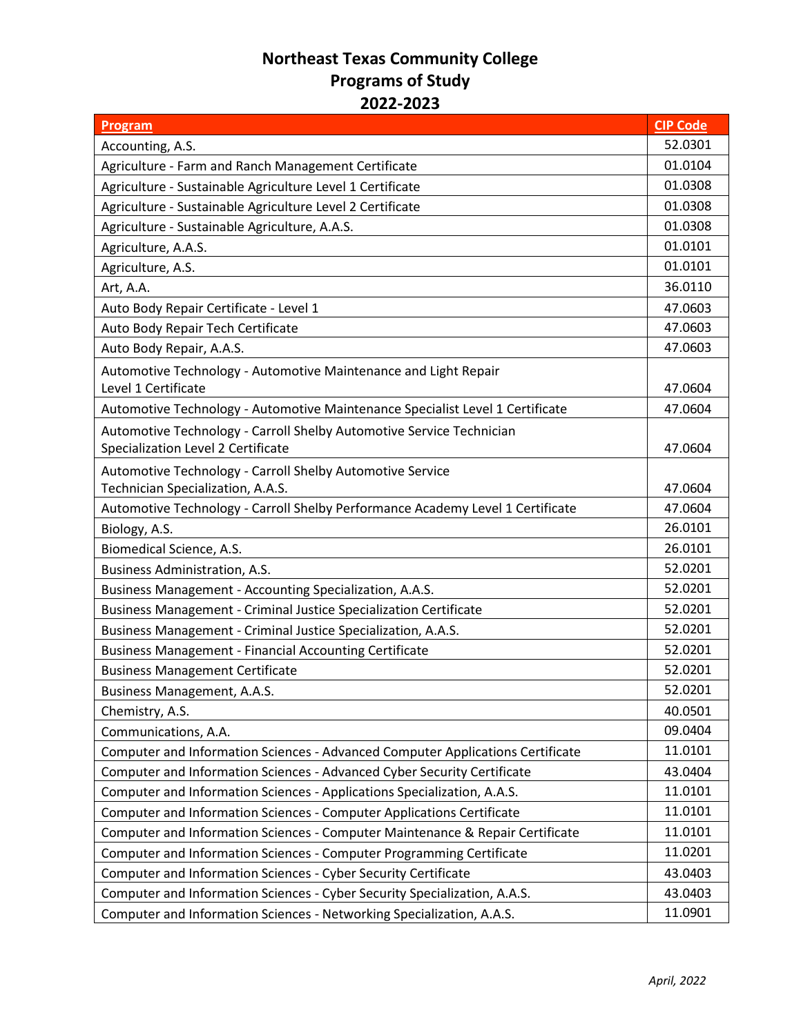## **Northeast Texas Community College Programs of Study 2022-2023**

| <b>Program</b>                                                                 | <b>CIP Code</b> |
|--------------------------------------------------------------------------------|-----------------|
| Accounting, A.S.                                                               | 52.0301         |
| Agriculture - Farm and Ranch Management Certificate                            | 01.0104         |
| Agriculture - Sustainable Agriculture Level 1 Certificate                      | 01.0308         |
| Agriculture - Sustainable Agriculture Level 2 Certificate                      | 01.0308         |
| Agriculture - Sustainable Agriculture, A.A.S.                                  | 01.0308         |
| Agriculture, A.A.S.                                                            | 01.0101         |
| Agriculture, A.S.                                                              | 01.0101         |
| Art, A.A.                                                                      | 36.0110         |
| Auto Body Repair Certificate - Level 1                                         | 47.0603         |
| Auto Body Repair Tech Certificate                                              | 47.0603         |
| Auto Body Repair, A.A.S.                                                       | 47.0603         |
| Automotive Technology - Automotive Maintenance and Light Repair                |                 |
| Level 1 Certificate                                                            | 47.0604         |
| Automotive Technology - Automotive Maintenance Specialist Level 1 Certificate  | 47.0604         |
| Automotive Technology - Carroll Shelby Automotive Service Technician           |                 |
| Specialization Level 2 Certificate                                             | 47.0604         |
| Automotive Technology - Carroll Shelby Automotive Service                      |                 |
| Technician Specialization, A.A.S.                                              | 47.0604         |
| Automotive Technology - Carroll Shelby Performance Academy Level 1 Certificate | 47.0604         |
| Biology, A.S.                                                                  | 26.0101         |
| Biomedical Science, A.S.                                                       | 26.0101         |
| Business Administration, A.S.                                                  | 52.0201         |
| Business Management - Accounting Specialization, A.A.S.                        | 52.0201         |
| Business Management - Criminal Justice Specialization Certificate              | 52.0201         |
| Business Management - Criminal Justice Specialization, A.A.S.                  | 52.0201         |
| <b>Business Management - Financial Accounting Certificate</b>                  | 52.0201         |
| <b>Business Management Certificate</b>                                         | 52.0201         |
| Business Management, A.A.S.                                                    | 52.0201         |
| Chemistry, A.S.                                                                | 40.0501         |
| Communications, A.A.                                                           | 09.0404         |
| Computer and Information Sciences - Advanced Computer Applications Certificate | 11.0101         |
| Computer and Information Sciences - Advanced Cyber Security Certificate        | 43.0404         |
| Computer and Information Sciences - Applications Specialization, A.A.S.        | 11.0101         |
| Computer and Information Sciences - Computer Applications Certificate          | 11.0101         |
| Computer and Information Sciences - Computer Maintenance & Repair Certificate  | 11.0101         |
| Computer and Information Sciences - Computer Programming Certificate           | 11.0201         |
| Computer and Information Sciences - Cyber Security Certificate                 | 43.0403         |
| Computer and Information Sciences - Cyber Security Specialization, A.A.S.      | 43.0403         |
| Computer and Information Sciences - Networking Specialization, A.A.S.          | 11.0901         |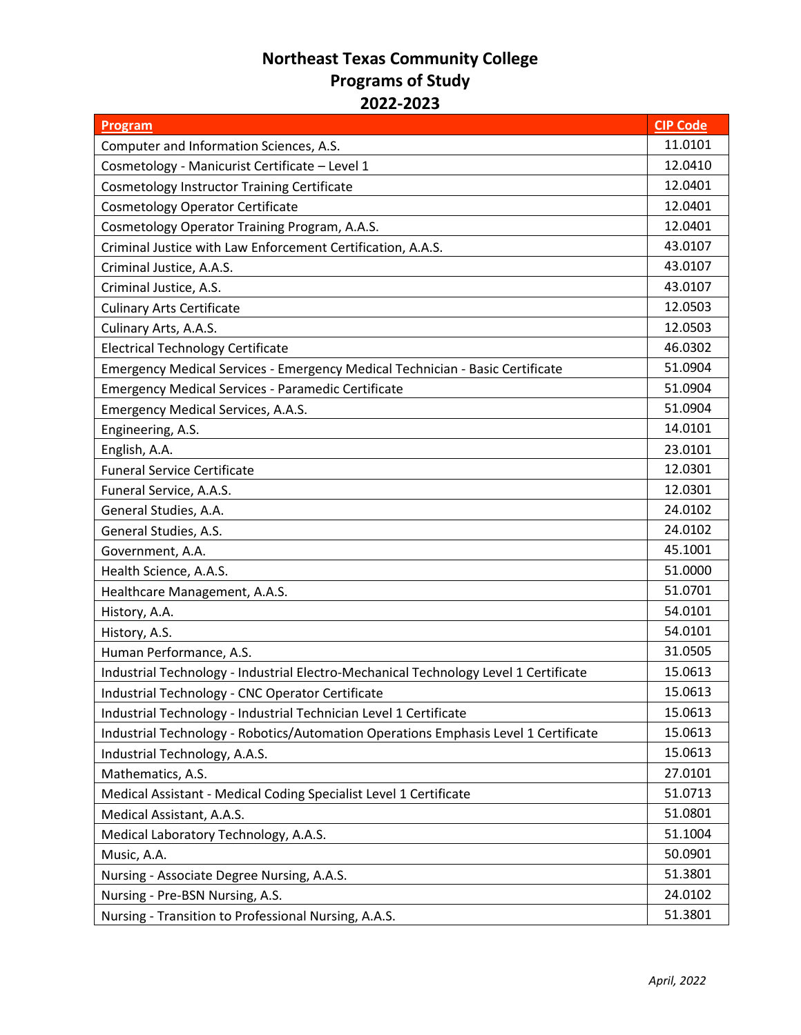## **Northeast Texas Community College Programs of Study 2022-2023**

| Program                                                                              | <b>CIP Code</b> |
|--------------------------------------------------------------------------------------|-----------------|
| Computer and Information Sciences, A.S.                                              | 11.0101         |
| Cosmetology - Manicurist Certificate - Level 1                                       | 12.0410         |
| <b>Cosmetology Instructor Training Certificate</b>                                   | 12.0401         |
| <b>Cosmetology Operator Certificate</b>                                              | 12.0401         |
| Cosmetology Operator Training Program, A.A.S.                                        | 12.0401         |
| Criminal Justice with Law Enforcement Certification, A.A.S.                          | 43.0107         |
| Criminal Justice, A.A.S.                                                             | 43.0107         |
| Criminal Justice, A.S.                                                               | 43.0107         |
| <b>Culinary Arts Certificate</b>                                                     | 12.0503         |
| Culinary Arts, A.A.S.                                                                | 12.0503         |
| <b>Electrical Technology Certificate</b>                                             | 46.0302         |
| Emergency Medical Services - Emergency Medical Technician - Basic Certificate        | 51.0904         |
| <b>Emergency Medical Services - Paramedic Certificate</b>                            | 51.0904         |
| <b>Emergency Medical Services, A.A.S.</b>                                            | 51.0904         |
| Engineering, A.S.                                                                    | 14.0101         |
| English, A.A.                                                                        | 23.0101         |
| <b>Funeral Service Certificate</b>                                                   | 12.0301         |
| Funeral Service, A.A.S.                                                              | 12.0301         |
| General Studies, A.A.                                                                | 24.0102         |
| General Studies, A.S.                                                                | 24.0102         |
| Government, A.A.                                                                     | 45.1001         |
| Health Science, A.A.S.                                                               | 51.0000         |
| Healthcare Management, A.A.S.                                                        | 51.0701         |
| History, A.A.                                                                        | 54.0101         |
| History, A.S.                                                                        | 54.0101         |
| Human Performance, A.S.                                                              | 31.0505         |
| Industrial Technology - Industrial Electro-Mechanical Technology Level 1 Certificate | 15.0613         |
| Industrial Technology - CNC Operator Certificate                                     | 15.0613         |
| Industrial Technology - Industrial Technician Level 1 Certificate                    | 15.0613         |
| Industrial Technology - Robotics/Automation Operations Emphasis Level 1 Certificate  | 15.0613         |
| Industrial Technology, A.A.S.                                                        | 15.0613         |
| Mathematics, A.S.                                                                    | 27.0101         |
| Medical Assistant - Medical Coding Specialist Level 1 Certificate                    | 51.0713         |
| Medical Assistant, A.A.S.                                                            | 51.0801         |
| Medical Laboratory Technology, A.A.S.                                                | 51.1004         |
| Music, A.A.                                                                          | 50.0901         |
| Nursing - Associate Degree Nursing, A.A.S.                                           | 51.3801         |
| Nursing - Pre-BSN Nursing, A.S.                                                      | 24.0102         |
| Nursing - Transition to Professional Nursing, A.A.S.                                 | 51.3801         |